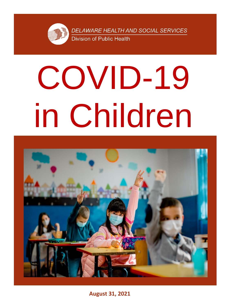# COVID-19 in Children



**August 31, 2021**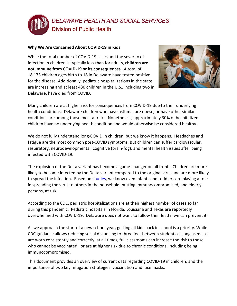

# **Why We Are Concerned About COVID-19 in Kids**

While the total number of COVID-19 cases and the severity of infection in children is typically less than for adults, **children are not immune from COVID-19 or its consequences**. A total of 18,173 children ages birth to 18 in Delaware have tested positive for the disease. Additionally, pediatric hospitalizations in the state are increasing and at least 430 children in the U.S., including two in Delaware, have died from COVID.



Many children are at higher risk for consequences from COVID-19 due to their underlying health conditions. Delaware children who have asthma, are obese, or have other similar conditions are among those most at risk. Nonetheless, approximately 30% of hospitalized children have no underlying health condition and would otherwise be considered healthy.

We do not fully understand long-COVID in children, but we know it happens. Headaches and fatigue are the most common post-COVID symptoms. But children can suffer cardiovascular, respiratory, neurodevelopmental, cognitive (brain-fog), and mental health issues after being infected with COVID-19.

The explosion of the Delta variant has become a game-changer on all fronts. Children are more likely to become infected by the Delta variant compared to the original virus and are more likely to spread the infection. Based on [studies,](https://jamanetwork.com/journals/jamapediatrics/fullarticle/2783022?guestAccessKey=52a9e0cf-bc64-4ec0-a945-49fd1373950f&utm_source=For_The_Media&utm_medium=referral&utm_campaign=ftm_links&utm_content=tfl&utm_term=081621) we know even infants and toddlers are playing a role in spreading the virus to others in the household, putting immunocompromised, and elderly persons, at risk.

According to the CDC, pediatric hospitalizations are at their highest number of cases so far during this pandemic. Pediatric hospitals in Florida, Louisiana and Texas are reportedly overwhelmed with COVID-19. Delaware does not want to follow their lead if we can prevent it.

As we approach the start of a new school year, getting all kids back in school is a priority. While CDC guidance allows reducing social distancing to three feet between students as long as masks are worn consistently and correctly, at all times, full classrooms can increase the risk to those who cannot be vaccinated, or are at higher risk due to chronic conditions, including being immunocompromised.

This document provides an overview of current data regarding COVID-19 in children, and the importance of two key mitigation strategies: vaccination and face masks.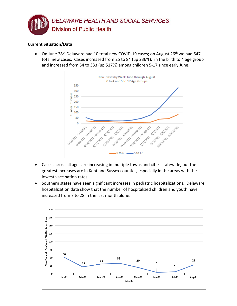

# **Current Situation/Data**

• On June 28<sup>th</sup> Delaware had 10 total new COVID-19 cases; on August 26<sup>th</sup> we had 547 total new cases. Cases increased from 25 to 84 (up 236%), in the birth to 4 age group and increased from 54 to 333 (up 517%) among children 5-17 since early June.



- Cases across all ages are increasing in multiple towns and cities statewide, but the greatest increases are in Kent and Sussex counties, especially in the areas with the lowest vaccination rates.
- Southern states have seen significant increases in pediatric hospitalizations. Delaware hospitalization data show that the number of hospitalized children and youth have increased from 7 to 28 in the last month alone.

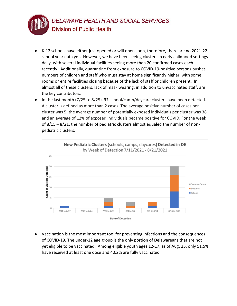

- K-12 schools have either just opened or will open soon, therefore, there are no 2021-22 school year data yet. However, we have been seeing clusters in early childhood settings daily, with several individual facilities seeing more than 20 confirmed cases each recently. Additionally, quarantine from exposure to COVID-19-positive persons pushes numbers of children and staff who must stay at home significantly higher, with some rooms or entire facilities closing because of the lack of staff or children present. In almost all of these clusters, lack of mask wearing, in addition to unvaccinated staff, are the key contributors.
- In the last month (7/25 to 8/25), **32** school/camp/daycare clusters have been detected. A cluster is defined as more than 2 cases. The average positive number of cases per cluster was 5; the average number of potentially exposed individuals per cluster was 38 and an average of 12% of exposed individuals became positive for COVID. For the week of 8/15 – 8/21, the number of pediatric clusters almost equaled the number of nonpediatric clusters.



• Vaccination is the most important tool for preventing infections and the consequences of COVID-19. The under-12 age group is the only portion of Delawareans that are not yet eligible to be vaccinated. Among eligible youth ages 12-17, as of Aug. 25, only 51.5% have received at least one dose and 40.2% are fully vaccinated.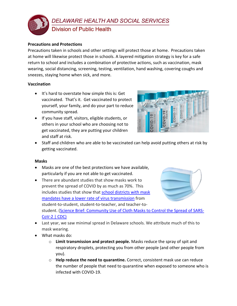

### **Precautions and Protections**

Precautions taken in schools and other settings will protect those at home. Precautions taken at home will likewise protect those in schools. A layered mitigation strategy is key for a safe return to school and includes a combination of protective actions, such as vaccination, mask wearing, social distancing, screening, testing, ventilation, hand washing, covering coughs and sneezes, staying home when sick, and more.

# **Vaccination**

- It's hard to overstate how simple this is: Get vaccinated. That's it. Get vaccinated to protect yourself, your family, and do your part to reduce community spread.
- If you have staff, visitors, eligible students, or others in your school who are choosing not to get vaccinated, they are putting your children and staff at risk.



• Staff and children who are able to be vaccinated can help avoid putting others at risk by getting vaccinated.

### **Masks**

- Masks are one of the best protections we have available, particularly if you are not able to get vaccinated.
- There are abundant studies that show masks work to prevent the spread of COVID by as much as 70%. This includes studies that show that [school districts with mask](https://abcsciencecollaborative.org/wp-content/uploads/2021/06/ABCs-Final-Report-June-2021.06-esig-DB-KZ-6-29-21.pdf)  [mandates have a lower rate of virus transmission](https://abcsciencecollaborative.org/wp-content/uploads/2021/06/ABCs-Final-Report-June-2021.06-esig-DB-KZ-6-29-21.pdf) from student-to-student, student-to-teacher, and teacher-tostudent. [\(Science Brief: Community Use of Cloth Masks to Control the Spread of SARS-](https://www.cdc.gov/coronavirus/2019-ncov/science/science-briefs/masking-science-sars-cov2.html)



[CoV-2 | CDC\)](https://www.cdc.gov/coronavirus/2019-ncov/science/science-briefs/masking-science-sars-cov2.html)

- Last year, we saw minimal spread in Delaware schools. We attribute much of this to mask wearing.
- What masks do:
	- o **Limit transmission and protect people.** Masks reduce the spray of spit and respiratory droplets, protecting you from other people (and other people from you).
	- o **Help reduce the need to quarantine.** Correct, consistent mask use can reduce the number of people that need to quarantine when exposed to someone who is infected with COVID-19.